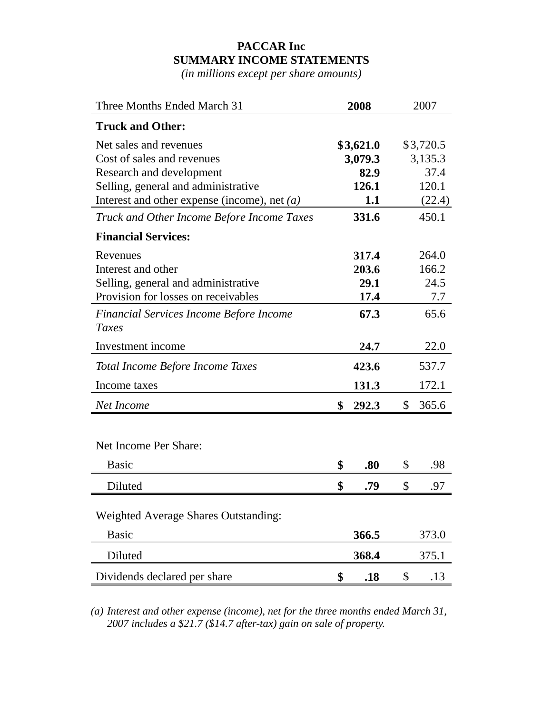## **PACCAR Inc SUMMARY INCOME STATEMENTS**

*(in millions except per share amounts)*

| <b>Three Months Ended March 31</b>             | 2008        |    | 2007      |
|------------------------------------------------|-------------|----|-----------|
| <b>Truck and Other:</b>                        |             |    |           |
| Net sales and revenues                         | \$3,621.0   |    | \$3,720.5 |
| Cost of sales and revenues                     | 3,079.3     |    | 3,135.3   |
| Research and development                       | 82.9        |    | 37.4      |
| Selling, general and administrative            | 126.1       |    | 120.1     |
| Interest and other expense (income), net $(a)$ | 1.1         |    | (22.4)    |
| Truck and Other Income Before Income Taxes     | 331.6       |    | 450.1     |
| <b>Financial Services:</b>                     |             |    |           |
| Revenues                                       | 317.4       |    | 264.0     |
| Interest and other                             | 203.6       |    | 166.2     |
| Selling, general and administrative            | 29.1        |    | 24.5      |
| Provision for losses on receivables            | 17.4        |    | 7.7       |
| <b>Financial Services Income Before Income</b> | 67.3        |    | 65.6      |
| Taxes                                          |             |    |           |
| Investment income                              | 24.7        |    | 22.0      |
| Total Income Before Income Taxes               | 423.6       |    | 537.7     |
| Income taxes                                   | 131.3       |    | 172.1     |
| Net Income                                     | \$<br>292.3 | \$ | 365.6     |
|                                                |             |    |           |
| Net Income Per Share:                          |             |    |           |
| <b>Basic</b>                                   | \$<br>.80   | \$ | .98       |
| Diluted                                        | \$<br>.79   | \$ | .97       |
|                                                |             |    |           |
| <b>Weighted Average Shares Outstanding:</b>    |             |    |           |
| <b>Basic</b>                                   | 366.5       |    | 373.0     |
| Diluted                                        | 368.4       |    | 375.1     |
| Dividends declared per share                   | \$<br>.18   | \$ | .13       |

*(a) Interest and other expense (income), net for the three months ended March 31, 2007 includes a \$21.7 (\$14.7 after-tax) gain on sale of property.*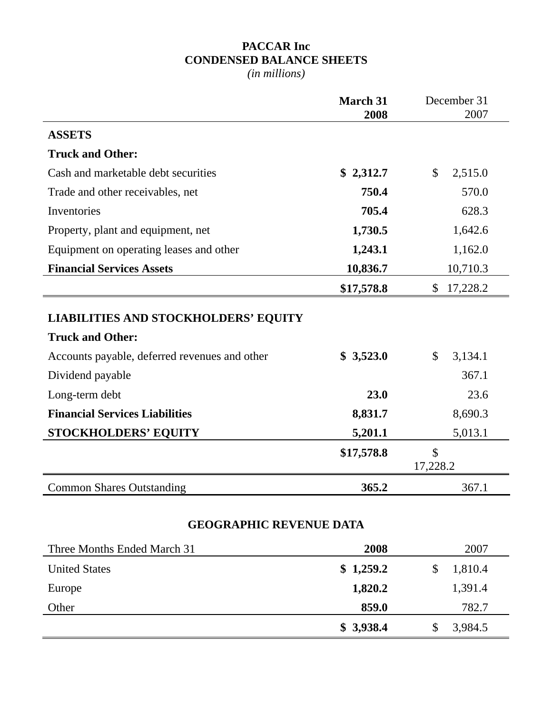## **PACCAR Inc CONDENSED BALANCE SHEETS**

*(in millions)*

|                                               | <b>March 31</b><br>December 31 |                                       |
|-----------------------------------------------|--------------------------------|---------------------------------------|
|                                               | 2008                           | 2007                                  |
| <b>ASSETS</b>                                 |                                |                                       |
| <b>Truck and Other:</b>                       |                                |                                       |
| Cash and marketable debt securities           | \$2,312.7                      | 2,515.0<br>\$                         |
| Trade and other receivables, net              | 750.4                          | 570.0                                 |
| Inventories                                   | 705.4                          | 628.3                                 |
| Property, plant and equipment, net            | 1,730.5                        | 1,642.6                               |
| Equipment on operating leases and other       | 1,243.1                        | 1,162.0                               |
| <b>Financial Services Assets</b>              | 10,836.7                       | 10,710.3                              |
|                                               | \$17,578.8                     | 17,228.2<br>\$                        |
| <b>LIABILITIES AND STOCKHOLDERS' EQUITY</b>   |                                |                                       |
| <b>Truck and Other:</b>                       |                                |                                       |
| Accounts payable, deferred revenues and other | \$3,523.0                      | 3,134.1<br>$\mathbb{S}$               |
|                                               |                                |                                       |
| Dividend payable                              |                                | 367.1                                 |
| Long-term debt                                | 23.0                           | 23.6                                  |
| <b>Financial Services Liabilities</b>         | 8,831.7                        | 8,690.3                               |
| <b>STOCKHOLDERS' EQUITY</b>                   | 5,201.1                        | 5,013.1                               |
|                                               | \$17,578.8                     | $\boldsymbol{\mathsf{S}}$<br>17,228.2 |

## **GEOGRAPHIC REVENUE DATA**

| Three Months Ended March 31 | 2008      | 2007    |
|-----------------------------|-----------|---------|
| <b>United States</b>        | \$1,259.2 | 1,810.4 |
| Europe                      | 1,820.2   | 1,391.4 |
| Other                       | 859.0     | 782.7   |
|                             | \$3,938.4 | 3,984.5 |